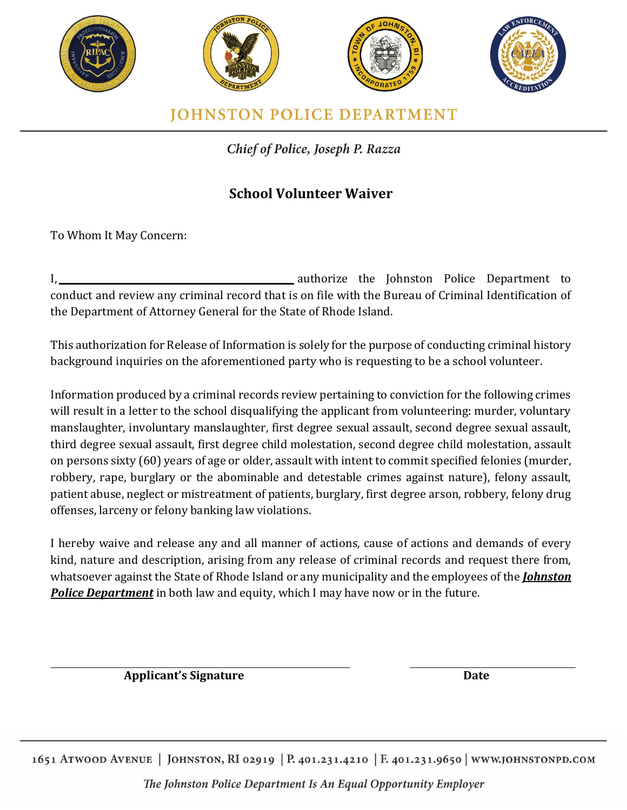

Chief of Police, Joseph P. Razza

## **School Volunteer Waiver**

To Whom It May Concern:

I, 1. 2012 The Johnston Police Department to conduct and review any criminal record that is on file with the Bureau of Criminal Identification of the Department of Attorney General for the State of Rhode Island.

This authorization for Release of Information is solely for the purpose of conducting criminal history background inquiries on the aforementioned party who is requesting to be a school volunteer.

Information produced by a criminal records review pertaining to conviction for the following crimes will result in a letter to the school disqualifying the applicant from volunteering: murder, voluntary manslaughter, involuntary manslaughter, first degree sexual assault, second degree sexual assault, third degree sexual assault, first degree child molestation, second degree child molestation, assault on persons sixty (60) years of age or older, assault with intent to commit specified felonies (murder, robbery, rape, burglary or the abominable and detestable crimes against nature), felony assault, patient abuse, neglect or mistreatment of patients, burglary, first degree arson, robbery, felony drug offenses, larceny or felony banking law violations.

I hereby waive and release any and all manner of actions, cause of actions and demands of every kind, nature and description, arising from any release of criminal records and request there from, whatsoever against the State of Rhode Island or any municipality and the employees of the *Johnston Police Department* in both law and equity, which I may have now or in the future.

**Applicant's Signature Date**

1651 ATWOOD AVENUE | JOHNSTON, RI 02919 | P. 401.231.4210 | F. 401.231.9650 | WWW.JOHNSTONPD.COM

The Johnston Police Department Is An Equal Opportunity Employer